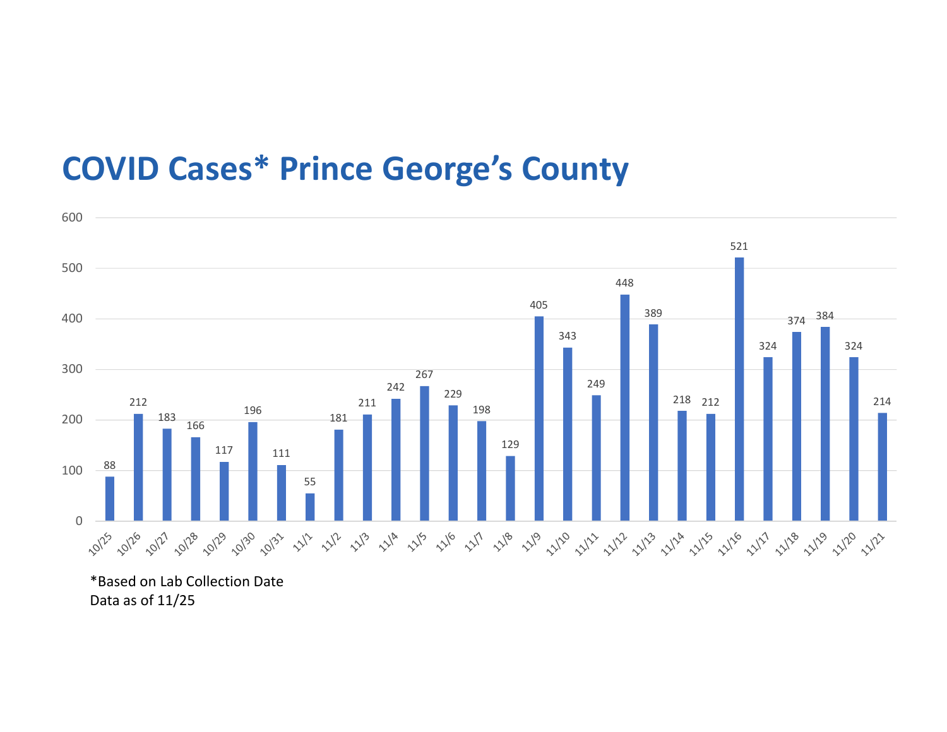## COVID Cases\* Prince George's County



\*Based on Lab Collection Date Data as of 11/25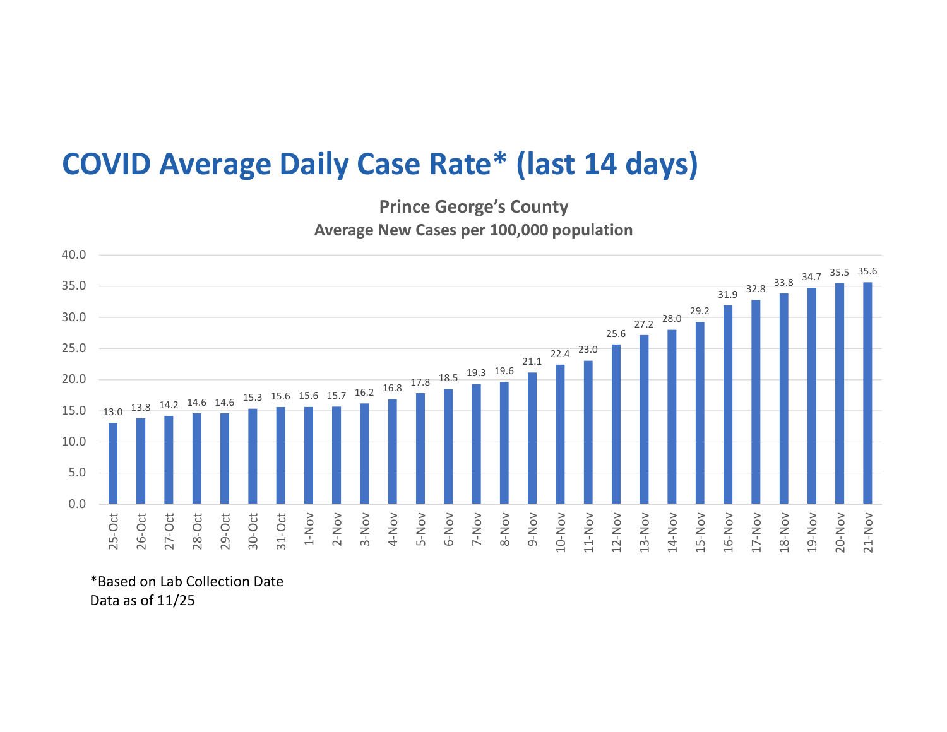## COVID Average Daily Case Rate\* (last 14 days)

Prince George's County Average New Cases per 100,000 population



\*Based on Lab Collection Date Data as of 11/25